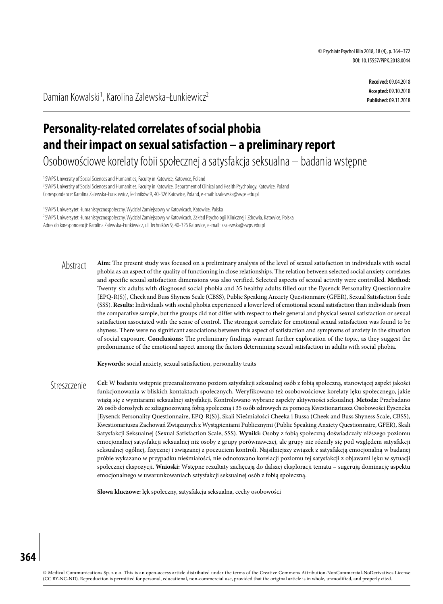**Received:** 09.04.2018 **Accepted:** 09.10.2018 **Published:** 09.11.2018

Damian Kowalski<sup>1</sup>, Karolina Zalewska-Łunkiewicz<sup>2</sup>

# **Personality-related correlates of social phobia and their impact on sexual satisfaction – a preliminary report**

Osobowościowe korelaty fobii społecznej asatysfakcja seksualna – badania wstępne

<sup>1</sup> SWPS University of Social Sciences and Humanities, Faculty in Katowice, Katowice, Poland 2 SWPS University of Social Sciences and Humanities, Faculty in Katowice, Department of Clinical and Health Psychology, Katowice, Poland Correspondence: Karolina Zalewska-Łunkiewicz, Techników 9, 40-326 Katowice, Poland, e-mail: kzalewska@swps.edu.pl

1 SWPS Uniwersytet Humanistycznospołeczny, Wydział Zamiejscowy w Katowicach, Katowice, Polska <sup>2</sup> SWPS Uniwersytet Humanistycznospołeczny, Wydział Zamiejscowy w Katowicach, Zakład Psychologii Klinicznej i Zdrowia, Katowice, Polska Adres do korespondencji: Karolina Zalewska-Łunkiewicz, ul. Techników 9, 40-326 Katowice, e-mail: kzalewska@swps.edu.pl

**Aim:** The present study was focused on a preliminary analysis of the level of sexual satisfaction in individuals with social phobia as an aspect of the quality of functioning in close relationships. The relation between selected social anxiety correlates and specific sexual satisfaction dimensions was also verified. Selected aspects of sexual activity were controlled. **Method:**  Twenty-six adults with diagnosed social phobia and 35 healthy adults filled out the Eysenck Personality Questionnaire [EPQ-R(S)], Cheek and Buss Shyness Scale (CBSS), Public Speaking Anxiety Questionnaire (GFER), Sexual Satisfaction Scale (SSS). **Results:** Individuals with social phobia experienced a lower level of emotional sexual satisfaction than individuals from the comparative sample, but the groups did not differ with respect to their general and physical sexual satisfaction or sexual satisfaction associated with the sense of control. The strongest correlate for emotional sexual satisfaction was found to be shyness. There were no significant associations between this aspect of satisfaction and symptoms of anxiety in the situation of social exposure. **Conclusions:** The preliminary findings warrant further exploration of the topic, as they suggest the predominance of the emotional aspect among the factors determining sexual satisfaction in adults with social phobia. Abstract

**Keywords:** social anxiety, sexual satisfaction, personality traits

**Cel:** W badaniu wstępnie przeanalizowano poziom satysfakcji seksualnej osób z fobią społeczną, stanowiącej aspekt jakości funkcjonowania w bliskich kontaktach społecznych. Weryfikowano też osobowościowe korelaty lęku społecznego, jakie wiążą się z wymiarami seksualnej satysfakcji. Kontrolowano wybrane aspekty aktywności seksualnej. **Metoda:** Przebadano 26 osób dorosłych ze zdiagnozowaną fobią społeczną i 35 osób zdrowych za pomocą Kwestionariusza Osobowości Eysencka [Eysenck Personality Questionnaire, EPQ-R(S)], Skali Nieśmiałości Cheeka i Bussa (Cheek and Buss Shyness Scale, CBSS), Kwestionariusza Zachowań Związanych z Wystąpieniami Publicznymi (Public Speaking Anxiety Questionnaire, GFER), Skali Satysfakcji Seksualnej (Sexual Satisfaction Scale, SSS). **Wyniki:** Osoby z fobią społeczną doświadczały niższego poziomu emocjonalnej satysfakcji seksualnej niż osoby z grupy porównawczej, ale grupy nie różniły się pod względem satysfakcji seksualnej ogólnej, fizycznej i związanej z poczuciem kontroli. Najsilniejszy związek z satysfakcją emocjonalną w badanej próbie wykazano w przypadku nieśmiałości, nie odnotowano korelacji poziomu tej satysfakcji z objawami lęku w sytuacji społecznej ekspozycji. **Wnioski:** Wstępne rezultaty zachęcają do dalszej eksploracji tematu – sugerują dominację aspektu emocjonalnego w uwarunkowaniach satysfakcji seksualnej osób z fobią społeczną. Streszczenie

**Słowa kluczowe:** lęk społeczny, satysfakcja seksualna, cechy osobowości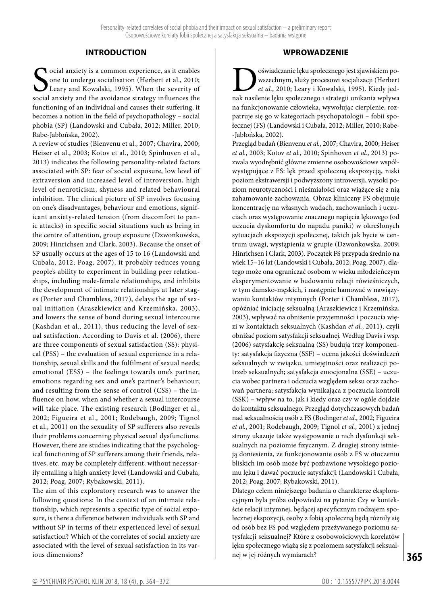# **INTRODUCTION**

Social anxiety is a common experience, as it enables<br>
one to undergo socialisation (Herbert et al., 2010;<br>
Leary and Kowalski, 1995). When the severity of<br>
social anxiety and the avoidance strategy influences the ocial anxiety is a common experience, as it enables one to undergo socialisation (Herbert et al., 2010; Leary and Kowalski, 1995). When the severity of functioning of an individual and causes their suffering, it becomes a notion in the field of psychopathology – social phobia (SP) (Landowski and Cubała, 2012; Miller, 2010; Rabe-Jabłońska, 2002).

A review of studies (Bienvenu et al., 2007; Chavira, 2000; Heiser et al., 2003; Kotov et al., 2010; Spinhoven et al., 2013) indicates the following personality-related factors associated with SP: fear of social exposure, low level of extraversion and increased level of introversion, high level of neuroticism, shyness and related behavioural inhibition. The clinical picture of SP involves focusing on one's disadvantages, behaviour and emotions, significant anxiety-related tension (from discomfort to panic attacks) in specific social situations such as being in the centre of attention, group exposure (Dzwonkowska, 2009; Hinrichsen and Clark, 2003). Because the onset of SP usually occurs at the ages of 15 to 16 (Landowski and Cubała, 2012; Poag, 2007), it probably reduces young people's ability to experiment in building peer relationships, including male-female relationships, and inhibits the development of intimate relationships at later stages (Porter and Chambless, 2017), delays the age of sexual initiation (Araszkiewicz and Krzemińska, 2003), and lowers the sense of bond during sexual intercourse (Kashdan et al., 2011), thus reducing the level of sexual satisfaction. According to Davis et al. (2006), there are three components of sexual satisfaction (SS): physical (PSS) – the evaluation of sexual experience in a relationship, sexual skills and the fulfilment of sexual needs; emotional (ESS) – the feelings towards one's partner, emotions regarding sex and one's partner's behaviour; and resulting from the sense of control (CSS) – the influence on how, when and whether a sexual intercourse will take place. The existing research (Bodinger et al., 2002; Figueira et al., 2001; Rodebaugh, 2009; Tignol et al., 2001) on the sexuality of SP sufferers also reveals their problems concerning physical sexual dysfunctions. However, there are studies indicating that the psychological functioning of SP sufferers among their friends, relatives, etc. may be completely different, without necessarily entailing a high anxiety level (Landowski and Cubała, 2012; Poag, 2007; Rybakowski, 2011).

The aim of this exploratory research was to answer the following questions: In the context of an intimate relationship, which represents a specific type of social exposure, is there a difference between individuals with SP and without SP in terms of their experienced level of sexual satisfaction? Which of the correlates of social anxiety are associated with the level of sexual satisfaction in its various dimensions?

## **WPROWADZENIE**

 $\begin{minipage}{0.9\linewidth} \begin{minipage}{0.9\linewidth} \begin{tabular}{l} oświadczanie lęku społecznego jest zjawiskiem po-  
et al., 2010; Leary i Kowalski, 1995). Kiedy jed-  
nak nasilenie leku społecznego i strategii unikania wpływ$ wszechnym, służy procesowi socjalizacji (Herbert *et al.*, 2010; Leary i Kowalski, 1995). Kiedy jednak nasilenie lęku społecznego i strategii unikania wpływa na funkcjonowanie człowieka, wywołując cierpienie, rozpatruje się go w kategoriach psychopatologii – fobii społecznej (FS) (Landowski i Cubała, 2012; Miller, 2010; Rabe- -Jabłońska, 2002).

Przegląd badań (Bienvenu *et al.*, 2007; Chavira, 2000; Heiser *et al.*, 2003; Kotov *et al.*, 2010; Spinhoven *et al.*, 2013) pozwala wyodrębnić główne zmienne osobowościowe współwystępujące z FS: lęk przed społeczną ekspozycją, niski poziom ekstrawersji i podwyższony introwersji, wysoki poziom neurotyczności i nieśmiałości oraz wiążące się z nią zahamowanie zachowania. Obraz kliniczny FS obejmuje koncentrację na własnych wadach, zachowaniach i uczuciach oraz występowanie znacznego napięcia lękowego (od uczucia dyskomfortu do napadu paniki) w określonych sytuacjach ekspozycji społecznej, takich jak bycie w centrum uwagi, wystąpienia w grupie (Dzwonkowska, 2009; Hinrichsen i Clark, 2003). Początek FS przypada średnio na wiek 15–16 lat (Landowski i Cubała, 2012; Poag, 2007), dlatego może ona ograniczać osobom w wieku młodzieńczym eksperymentowanie w budowaniu relacji rówieśniczych, w tym damsko-męskich, i następnie hamować w nawiązywaniu kontaktów intymnych (Porter i Chambless, 2017), opóźniać inicjację seksualną (Araszkiewicz i Krzemińska, 2003), wpływać na obniżenie przyjemności i poczucia więzi w kontaktach seksualnych (Kashdan *et al.*, 2011), czyli obniżać poziom satysfakcji seksualnej. Według Davis i wsp. (2006) satysfakcję seksualną (SS) budują trzy komponenty: satysfakcja fizyczna (SSF) – ocena jakości doświadczeń seksualnych w związku, umiejętności oraz realizacji potrzeb seksualnych; satysfakcja emocjonalna (SSE) – uczucia wobec partnera i odczucia względem seksu oraz zachowań partnera; satysfakcja wynikająca z poczucia kontroli (SSK) – wpływ na to, jak i kiedy oraz czy w ogóle dojdzie do kontaktu seksualnego. Przegląd dotychczasowych badań nad seksualnością osób z FS (Bodinger *et al.*, 2002; Figueira *et al.*, 2001; Rodebaugh, 2009; Tignol *et al.*, 2001) z jednej strony ukazuje także występowanie u nich dysfunkcji seksualnych na poziomie fizycznym. Z drugiej strony istnieją doniesienia, że funkcjonowanie osób z FS w otoczeniu bliskich im osób może być pozbawione wysokiego poziomu lęku i dawać poczucie satysfakcji (Landowski i Cubała, 2012; Poag, 2007; Rybakowski, 2011).

Dlatego celem niniejszego badania o charakterze eksploracyjnym była próba odpowiedzi na pytania: Czy w kontekście relacji intymnej, będącej specyficznym rodzajem społecznej ekspozycji, osoby z fobią społeczną będą różniły się od osób bez FS pod względem przeżywanego poziomu satysfakcji seksualnej? Które z osobowościowych korelatów lęku społecznego wiążą się z poziomem satysfakcji seksualnej w jej różnych wymiarach?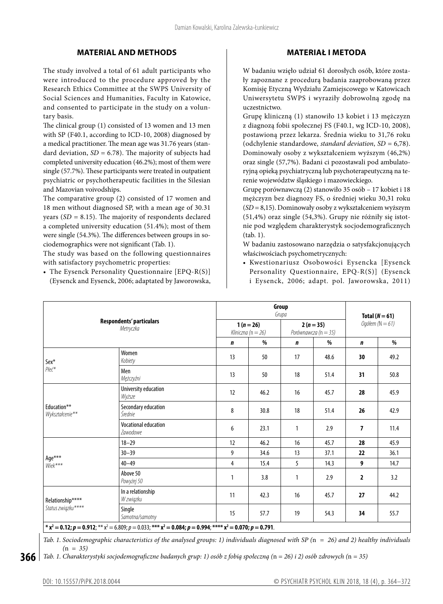## **MATERIAL AND METHODS**

The study involved a total of 61 adult participants who were introduced to the procedure approved by the Research Ethics Committee at the SWPS University of Social Sciences and Humanities, Faculty in Katowice, and consented to participate in the study on a voluntary basis.

The clinical group (1) consisted of 13 women and 13 men with SP (F40.1, according to ICD-10, 2008) diagnosed by a medical practitioner. The mean age was 31.76 years (standard deviation, *SD =* 6.78). The majority of subjects had completed university education (46.2%); most of them were single (57.7%). These participants were treated in outpatient psychiatric or psychotherapeutic facilities in the Silesian and Mazovian voivodships.

The comparative group (2) consisted of 17 women and 18 men without diagnosed SP, with a mean age of 30.31 years (*SD =* 8.15). The majority of respondents declared a completed university education (51.4%); most of them were single (54.3%). The differences between groups in sociodemographics were not significant (Tab. 1).

The study was based on the following questionnaires with satisfactory psychometric properties:

• The Eysenck Personality Questionnaire [EPQ-R(S)] (Eysenck and Eysenck, 2006; adaptated by Jaworowska,

# **MATERIAŁ I METODA**

W badaniu wzięło udział 61 dorosłych osób, które zostały zapoznane z procedurą badania zaaprobowaną przez Komisję Etyczną Wydziału Zamiejscowego w Katowicach Uniwersytetu SWPS i wyraziły dobrowolną zgodę na uczestnictwo.

Grupę kliniczną (1) stanowiło 13 kobiet i 13 mężczyzn z diagnozą fobii społecznej FS (F40.1, wg ICD-10, 2008), postawioną przez lekarza. Średnia wieku to 31,76 roku (odchylenie standardowe, *standard deviation*, *SD =* 6,78). Dominowały osoby z wykształceniem wyższym (46,2%) oraz single (57,7%). Badani ci pozostawali pod ambulatoryjną opieką psychiatryczną lub psychoterapeutyczną na terenie województw śląskiego i mazowieckiego.

Grupę porównawczą (2) stanowiło 35 osób – 17 kobiet i 18 mężczyzn bez diagnozy FS, o średniej wieku 30,31 roku (*SD =* 8,15). Dominowały osoby z wykształceniem wyższym (51,4%) oraz single (54,3%). Grupy nie różniły się istotnie pod względem charakterystyk socjodemograficznych (tab. 1).

W badaniu zastosowano narzędzia o satysfakcjonujących właściwościach psychometrycznych:

• Kwestionariusz Osobowości Eysencka [Eysenck Personality Questionnaire, EPQ-R(S)] (Eysenck i Eysenck, 2006; adapt. pol. Jaworowska, 2011)

| Respondents' particulars<br>Metryczka |                                                                                                                                      |                                     | Group<br>Grupa |                                   |      |                                       |      |
|---------------------------------------|--------------------------------------------------------------------------------------------------------------------------------------|-------------------------------------|----------------|-----------------------------------|------|---------------------------------------|------|
|                                       |                                                                                                                                      | $1(n=26)$<br>Kliniczna ( $n = 26$ ) |                | $2(n=35)$<br>Porównawcza (n = 35) |      | Total $(N = 61)$<br>Ogółem $(N = 61)$ |      |
|                                       |                                                                                                                                      | $\mathbf n$                         | %              | $\mathbf n$                       | %    | $\mathbf n$                           | %    |
| Sex*                                  | Women<br>Kobiety                                                                                                                     | 13                                  | 50             | 17                                | 48.6 | 30                                    | 49.2 |
| Płeć*                                 | Men<br>Mężczyźni                                                                                                                     | 13                                  | 50             | 18                                | 51.4 | 31                                    | 50.8 |
|                                       | University education<br>Wyższe                                                                                                       | 12                                  | 46.2           | 16                                | 45.7 | 28                                    | 45.9 |
| Education**<br>Wykształcenie**        | Secondary education<br>Średnie                                                                                                       | 8                                   | 30.8           | 18                                | 51.4 | 26                                    | 42.9 |
|                                       | <b>Vocational education</b><br>Zawodowe                                                                                              | 6                                   | 23.1           | $\mathbf{1}$                      | 2.9  | 7                                     | 11.4 |
|                                       | $18 - 29$                                                                                                                            | 12                                  | 46.2           | 16                                | 45.7 | 28                                    | 45.9 |
|                                       | $30 - 39$                                                                                                                            | 9                                   | 34.6           | 13                                | 37.1 | 22                                    | 36.1 |
| $\mathsf{Age^{***}}$<br>$Wick***$     | $40 - 49$                                                                                                                            | 4                                   | 15.4           | 5                                 | 14.3 | 9                                     | 14.7 |
|                                       | Above 50<br>Powyżej 50                                                                                                               | $\mathbf{1}$                        | 3.8            | $\mathbf{1}$                      | 2.9  | 2                                     | 3.2  |
| Relationship****                      | In a relationship<br>W związku                                                                                                       | 11                                  | 42.3           | 16                                | 45.7 | 27                                    | 44.2 |
| Status związku****                    | Single<br>Samotna/samotny                                                                                                            | 15                                  | 57.7           | 19                                | 54.3 | 34                                    | 55.7 |
|                                       | * $x^2 = 0.12$ ; $p = 0.912$ ; ** $x^2 = 6.809$ ; $p = 0.033$ ; *** $x^2 = 0.084$ ; $p = 0.994$ ; **** $x^2 = 0.070$ ; $p = 0.791$ . |                                     |                |                                   |      |                                       |      |

*Tab. 1. Sociodemographic characteristics of the analysed groups: 1) individuals diagnosed with SP (*n *= 26) and 2) healthy individuals (*n *= 35)*

**366** *Tab. 1. Charakterystyki socjodemograficzne badanych grup: 1) osób z fobią społeczną (*n *= 26) i 2) osób zdrowych (*n *= 35)*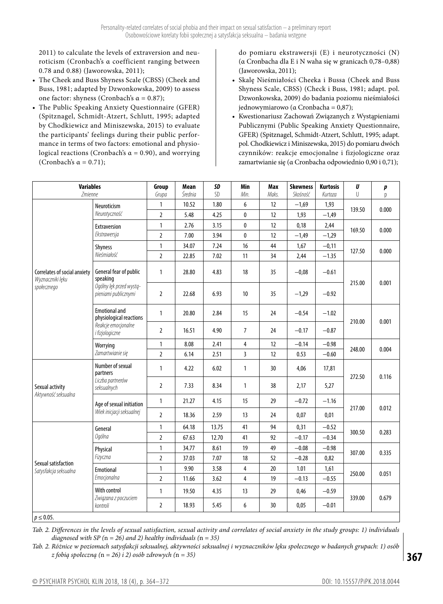2011) to calculate the levels of extraversion and neuroticism (Cronbach's α coefficient ranging between 0.78 and 0.88) (Jaworowska, 2011);

- • The Cheek and Buss Shyness Scale (CBSS) (Cheek and Buss, 1981; adapted by Dzwonkowska, 2009) to assess one factor: shyness (Cronbach's  $\alpha = 0.87$ );
- • The Public Speaking Anxiety Questionnaire (GFER) (Spitznagel, Schmidt-Atzert, Schlutt, 1995; adapted by Chodkiewicz and Miniszewska, 2015) to evaluate the participants' feelings during their public performance in terms of two factors: emotional and physiological reactions (Cronbach's  $\alpha = 0.90$ ), and worrying (Cronbach's  $\alpha = 0.71$ );

do pomiaru ekstrawersji (E) i neurotyczności (N) (α Cronbacha dla E i N waha się w granicach 0,78–0,88) (Jaworowska, 2011);

- • Skalę Nieśmiałości Cheeka i Bussa (Cheek and Buss Shyness Scale, CBSS) (Check i Buss, 1981; adapt. pol. Dzwonkowska, 2009) do badania poziomu nieśmiałości jednowymiarowo (α Cronbacha = 0,87);
- • Kwestionariusz Zachowań Związanych z Wystąpieniami Publicznymi (Public Speaking Anxiety Questionnaire, GFER) (Spitznagel, Schmidt-Atzert, Schlutt, 1995; adapt. pol. Chodkiewicz i Miniszewska, 2015) do pomiaru dwóch czynników: reakcje emocjonalne i fizjologiczne oraz zamartwianie się (α Cronbacha odpowiednio 0,90 i 0,71);

| <b>Variables</b><br>Zmienne                                     |                                                                                                  | Group<br>Grupa | Mean<br>Średnia | SD<br>SD | Min<br>Min.    | Max<br>Maks. | <b>Skewness</b><br>Skośność | <b>Kurtosis</b><br>Kurtoza | U<br>U | p<br>D |
|-----------------------------------------------------------------|--------------------------------------------------------------------------------------------------|----------------|-----------------|----------|----------------|--------------|-----------------------------|----------------------------|--------|--------|
|                                                                 | Neuroticism<br>Neurotyczność                                                                     | 1              | 10.52           | 1.80     | 6              | 12           | $-1,69$                     | 1,93                       | 139.50 | 0.000  |
|                                                                 |                                                                                                  | $\overline{2}$ | 5.48            | 4.25     | $\mathbf 0$    | 12           | 1,93                        | $-1,49$                    |        |        |
|                                                                 | <b>Extraversion</b><br>Ekstrawersja                                                              | 1              | 2.76            | 3.15     | 0              | 12           | 0,18                        | 2,44                       | 169.50 | 0.000  |
|                                                                 |                                                                                                  | $\overline{2}$ | 7.00            | 3.94     | 0              | 12           | $-1,49$                     | $-1,29$                    |        |        |
| Correlates of social anxiety<br>Wyznaczniki lęku<br>społecznego | <b>Shyness</b><br>Nieśmiałość                                                                    | $\mathbf{1}$   | 34.07           | 7.24     | 16             | 44           | 1,67                        | $-0,11$                    | 127.50 | 0.000  |
|                                                                 |                                                                                                  | $\overline{2}$ | 22.85           | 7.02     | 11             | 34           | 2,44                        | $-1.35$                    |        |        |
|                                                                 | General fear of public<br>speaking<br>Ogólny lęk przed wystą-<br>pieniami publicznymi            | $\mathbf{1}$   | 28.80           | 4.83     | 18             | 35           | $-0,08$                     | $-0.61$                    | 215.00 | 0.001  |
|                                                                 |                                                                                                  | 2              | 22.68           | 6.93     | 10             | 35           | $-1,29$                     | $-0.92$                    |        |        |
|                                                                 | <b>Emotional and</b><br>physiological reactions<br>Reakcje emocjonalne<br><i>i</i> fizjologiczne | 1              | 20.80           | 2.84     | 15             | 24           | $-0.54$                     | $-1.02$                    | 210.00 | 0.001  |
|                                                                 |                                                                                                  | $\overline{2}$ | 16.51           | 4.90     | $\overline{7}$ | 24           | $-0.17$                     | $-0.87$                    |        |        |
|                                                                 | Worrying<br>Zamartwianie się                                                                     | $\mathbf{1}$   | 8.08            | 2.41     | $\overline{4}$ | 12           | $-0.14$                     | $-0.98$                    | 248.00 | 0.004  |
|                                                                 |                                                                                                  | $\overline{2}$ | 6.14            | 2.51     | $\overline{3}$ | 12           | 0.53                        | $-0.60$                    |        |        |
| Sexual activity<br>Aktywność seksualna                          | Number of sexual<br>partners<br>Liczba partnerów<br>seksualnych                                  | $\mathbf{1}$   | 4.22            | 6.02     | $\mathbf{1}$   | 30           | 4,06                        | 17,81                      | 272.50 | 0.116  |
|                                                                 |                                                                                                  | $\overline{2}$ | 7.33            | 8.34     | $\mathbf{1}$   | 38           | 2,17                        | 5,27                       |        |        |
|                                                                 | Age of sexual initiation<br>Wiek inicjacji seksualnej                                            | $\mathbf{1}$   | 21.27           | 4.15     | 15             | 29           | $-0.72$                     | $-1.16$                    | 217.00 | 0.012  |
|                                                                 |                                                                                                  | $\overline{2}$ | 18.36           | 2.59     | 13             | 24           | 0,07                        | 0,01                       |        |        |
| Sexual satisfaction<br>Satysfakcja seksualna                    | General<br>Ogólna                                                                                | 1              | 64.18           | 13.75    | 41             | 94           | 0,31                        | $-0.52$                    | 300.50 | 0.283  |
|                                                                 |                                                                                                  | $\overline{2}$ | 67.63           | 12.70    | 41             | 92           | $-0.17$                     | $-0.34$                    |        |        |
|                                                                 | Physical<br>Fizyczna                                                                             | 1              | 34.77           | 8.61     | 19             | 49           | $-0.08$                     | $-0.98$                    | 307.00 | 0.335  |
|                                                                 |                                                                                                  | $\overline{2}$ | 37.03           | 7.07     | 18             | 52           | $-0.28$                     | 0,82                       |        |        |
|                                                                 | Emotional<br>Emocjonalna                                                                         | 1              | 9.90            | 3.58     | $\overline{4}$ | 20           | 1.01                        | 1,61                       | 250.00 | 0.051  |
|                                                                 |                                                                                                  | $\overline{2}$ | 11.66           | 3.62     | $\overline{4}$ | 19           | $-0.13$                     | $-0.55$                    |        |        |
|                                                                 | With control<br>Związana z poczuciem<br>kontroli                                                 | $\mathbf{1}$   | 19.50           | 4.35     | 13             | 29           | 0,46                        | $-0.59$                    | 339.00 | 0.679  |
|                                                                 |                                                                                                  | 2              | 18.93           | 5.45     | 6              | 30           | 0,05                        | $-0.01$                    |        |        |
| $p \le 0.05$ .                                                  |                                                                                                  |                |                 |          |                |              |                             |                            |        |        |

*Tab. 2. Differences in the levels of sexual satisfaction, sexual activity and correlates of social anxiety in the study groups: 1) individuals diagnosed with SP* ( $n = 26$ ) *and 2*) *healthy individuals* ( $n = 35$ )

*Tab. 2. Różnice w poziomach satysfakcji seksualnej, aktywności seksualnej i wyznaczników lęku społecznego w badanych grupach: 1) osób z fobią społeczną (*n *= 26) i 2) osób zdrowych (*n *= 35)*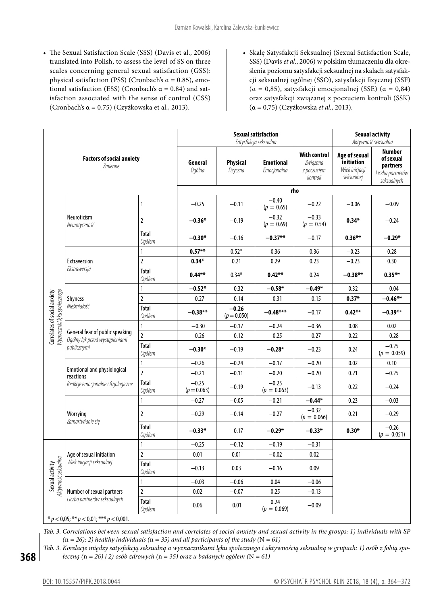- The Sexual Satisfaction Scale (SSS) (Davis et al., 2006) translated into Polish, to assess the level of SS on three scales concerning general sexual satisfaction (GSS): physical satisfaction (PSS) (Cronbach's α = 0.85), emotional satisfaction (ESS) (Cronbach's  $\alpha = 0.84$ ) and satisfaction associated with the sense of control (CSS) (Cronbach's  $\alpha$  = 0.75) (Czyżkowska et al., 2013).
- • Skalę Satysfakcji Seksualnej (Sexual Satisfaction Scale, SSS) (Davis *et al.*, 2006) w polskim tłumaczeniu dla określenia poziomu satysfakcji seksualnej na skalach satysfakcji seksualnej ogólnej (SSO), satysfakcji fizycznej (SSF) (α = 0,85), satysfakcji emocjonalnej (SSE) (α = 0,84) oraz satysfakcji związanej z poczuciem kontroli (SSK) (α = 0,75) (Czyżkowska *et al.*, 2013).

|                                                             |                                                                                        |                               | <b>Sexual satisfaction</b><br>Satysfakcja seksualna | <b>Sexual activity</b><br>Aktywność seksualna |                                 |                                                            |                                                             |                                                                           |
|-------------------------------------------------------------|----------------------------------------------------------------------------------------|-------------------------------|-----------------------------------------------------|-----------------------------------------------|---------------------------------|------------------------------------------------------------|-------------------------------------------------------------|---------------------------------------------------------------------------|
| <b>Factors of social anxiety</b><br>Zmienne                 |                                                                                        |                               | General<br>Ogólna                                   | Physical<br>Fizyczna                          | <b>Emotional</b><br>Emocjonalna | <b>With control</b><br>Związana<br>z poczuciem<br>kontroli | Age of sexual<br>initiation<br>Wiek inicjacji<br>seksualnej | <b>Number</b><br>of sexual<br>partners<br>Liczba partnerów<br>seksualnych |
|                                                             |                                                                                        |                               | rho                                                 |                                               |                                 |                                                            |                                                             |                                                                           |
| Мугпастікі Іеки społecznego<br>Correlates of social anxiety | Neuroticism<br>Neurotyczność                                                           | $\mathbf{1}$                  | $-0.25$                                             | $-0.11$                                       | $-0.40$<br>$(p = 0.65)$         | $-0.22$                                                    | $-0.06$                                                     | $-0.09$                                                                   |
|                                                             |                                                                                        | $\overline{\mathbf{2}}$       | $-0.36*$                                            | $-0.19$                                       | $-0.32$<br>$(p = 0.69)$         | $-0.33$<br>$(p = 0.54)$                                    | $0.34*$                                                     | $-0.24$                                                                   |
|                                                             |                                                                                        | Total<br>Ogółem               | $-0.30*$                                            | $-0.16$                                       | $-0.37**$                       | $-0.17$                                                    | $0.36***$                                                   | $-0.29*$                                                                  |
|                                                             |                                                                                        | 1                             | $0.57***$                                           | $0.52*$                                       | 0.36                            | 0.36                                                       | $-0.23$                                                     | 0.28                                                                      |
|                                                             | <b>Extraversion</b><br>Ekstrawersja                                                    | $\overline{2}$                | $0.34*$                                             | 0.21                                          | 0.29                            | 0.23                                                       | $-0.23$                                                     | 0.30                                                                      |
|                                                             |                                                                                        | Total<br><b>Ogółem</b>        | $0.44***$                                           | $0.34*$                                       | $0.42***$                       | 0.24                                                       | $-0.38**$                                                   | $0.35***$                                                                 |
|                                                             | <b>Shyness</b><br>Nieśmiałość                                                          | 1                             | $-0.52*$                                            | $-0.32$                                       | $-0.58*$                        | $-0.49*$                                                   | 0.32                                                        | $-0.04$                                                                   |
|                                                             |                                                                                        | $\overline{2}$                | $-0.27$                                             | $-0.14$                                       | $-0.31$                         | $-0.15$                                                    | $0.37*$                                                     | $-0.46***$                                                                |
|                                                             |                                                                                        | Total<br>Ogółem               | $-0.38**$                                           | $-0.26$<br>$(p = 0.050)$                      | $-0.48***$                      | $-0.17$                                                    | $0.42***$                                                   | $-0.39***$                                                                |
|                                                             |                                                                                        | $\mathbf{1}$                  | $-0.30$                                             | $-0.17$                                       | $-0.24$                         | $-0.36$                                                    | 0.08                                                        | 0.02                                                                      |
|                                                             | General fear of public speaking<br>Ogólny lęk przed wystąpieniami<br>publicznymi       | $\overline{2}$                | $-0.26$                                             | $-0.12$                                       | $-0.25$                         | $-0.27$                                                    | 0.22                                                        | $-0.28$                                                                   |
|                                                             |                                                                                        | <b>Total</b><br><b>Ogółem</b> | $-0.30*$                                            | $-0.19$                                       | $-0.28*$                        | $-0.23$                                                    | 0.24                                                        | $-0.25$<br>$(p = 0.059)$                                                  |
|                                                             | <b>Emotional and physiological</b><br>reactions<br>Reakcje emocjonalne i fizjologiczne | $\mathbf{1}$                  | $-0.26$                                             | $-0.24$                                       | $-0.17$                         | $-0.20$                                                    | 0.02                                                        | 0.10                                                                      |
|                                                             |                                                                                        | $\overline{2}$                | $-0.21$                                             | $-0.11$                                       | $-0.20$                         | $-0.20$                                                    | 0.21                                                        | $-0.25$                                                                   |
|                                                             |                                                                                        | Total<br><b>Ogółem</b>        | $-0.25$<br>$(p = 0.063)$                            | $-0.19$                                       | $-0.25$<br>$(p = 0.063)$        | $-0.13$                                                    | 0.22                                                        | $-0.24$                                                                   |
|                                                             |                                                                                        | $\mathbf{1}$                  | $-0.27$                                             | $-0.05$                                       | $-0.21$                         | $-0.44*$                                                   | 0.23                                                        | $-0.03$                                                                   |
|                                                             | Worrying<br>Zamartwianie się                                                           | $\overline{2}$                | $-0.29$                                             | $-0.14$                                       | $-0.27$                         | $-0.32$<br>$(p = 0.066)$                                   | 0.21                                                        | $-0.29$                                                                   |
|                                                             |                                                                                        | Total<br><b>Ogółem</b>        | $-0.33*$                                            | $-0.17$                                       | $-0.29*$                        | $-0.33*$                                                   | $0.30*$                                                     | $-0.26$<br>$(p = 0.051)$                                                  |
| <b>Sexual activity</b><br>Aktywność seksualna               | Age of sexual initiation<br>Wiek inicjacji seksualnej                                  | $\mathbf{1}$                  | $-0.25$                                             | $-0.12$                                       | $-0.19$                         | $-0.31$                                                    |                                                             |                                                                           |
|                                                             |                                                                                        | $\overline{2}$                | 0.01                                                | 0.01                                          | $-0.02$                         | 0.02                                                       |                                                             |                                                                           |
|                                                             |                                                                                        | Total<br><b>Ogółem</b>        | $-0.13$                                             | 0.03                                          | $-0.16$                         | 0.09                                                       |                                                             |                                                                           |
|                                                             |                                                                                        | $\mathbf{1}$                  | $-0.03$                                             | $-0.06$                                       | 0.04                            | $-0.06$                                                    |                                                             |                                                                           |
|                                                             | Number of sexual partners<br>Liczba partnerów seksualnych                              | $\overline{2}$                | 0.02                                                | $-0.07$                                       | 0.25                            | $-0.13$                                                    |                                                             |                                                                           |
|                                                             |                                                                                        | Total<br><b>Ogółem</b>        | 0.06                                                | 0.01                                          | 0.24<br>$(p = 0.069)$           | $-0.09$                                                    |                                                             |                                                                           |
|                                                             | * $p < 0.05$ ; ** $p < 0.01$ ; *** $p < 0.001$ .                                       |                               |                                                     |                                               |                                 |                                                            |                                                             |                                                                           |

*Tab. 3. Correlations between sexual satisfaction and correlates of social anxiety and sexual activity in the groups: 1) individuals with SP (*n *= 26); 2) healthy individuals (*n *= 35) and all participants of the study (*N *= 61)*

*Tab. 3. Korelacje między satysfakcją seksualną a wyznacznikami lęku społecznego i aktywnością seksualną w grupach: 1) osób z fobią społeczną (*n *= 26) i 2) osób zdrowych (*n *= 35) oraz u badanych ogółem (*N *= 61)*

**368**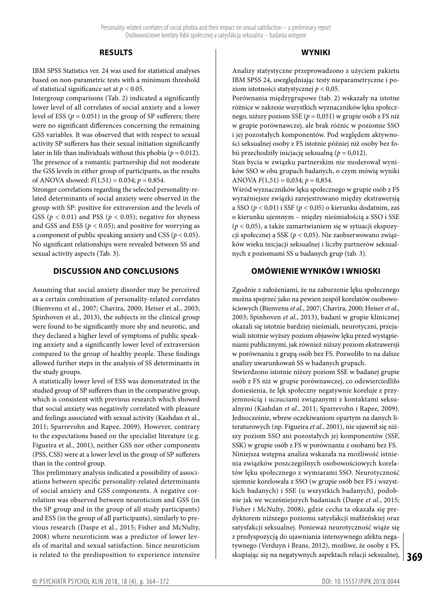# **RESULTS**

IBM SPSS Statistics ver. 24 was used for statistical analyses based on non-parametric tests with a minimum threshold of statistical significance set at *p <* 0.05.

Intergroup comparisons (Tab. 2) indicated a significantly lower level of all correlates of social anxiety and a lower level of ESS  $(p = 0.051)$  in the group of SP sufferers; there were no significant differences concerning the remaining GSS variables. It was observed that with respect to sexual activity SP sufferers has their sexual initiation significantly later in life than individuals without this phobia (*p =* 0.012). The presence of a romantic partnership did not moderate the GSS levels in either group of participants, as the results of ANOVA showed:  $F(1,51) = 0.034$ ;  $p = 0.854$ .

Stronger correlations regarding the selected personality-related determinants of social anxiety were observed in the group with SP: positive for extraversion and the levels of GSS ( $p < 0.01$ ) and PSS ( $p < 0.05$ ); negative for shyness and GSS and ESS ( $p < 0.05$ ); and positive for worrying as a component of public speaking anxiety and CSS (*p <* 0.05). No significant relationships were revealed between SS and sexual activity aspects (Tab. 3).

# **DISCUSSION AND CONCLUSIONS**

Assuming that social anxiety disorder may be perceived as a certain combination of personality-related correlates (Bienvenu et al., 2007; Chavira, 2000; Heiser et al., 2003; Spinhoven et al., 2013), the subjects in the clinical group were found to be significantly more shy and neurotic, and they declared a higher level of symptoms of public speaking anxiety and a significantly lower level of extraversion compared to the group of healthy people. These findings allowed further steps in the analysis of SS determinants in the study groups.

A statistically lower level of ESS was demonstrated in the studied group of SP sufferers than in the comparative group, which is consistent with previous research which showed that social anxiety was negatively correlated with pleasure and feelings associated with sexual activity (Kashdan et al., 2011; Sparrevohn and Rapee, 2009). However, contrary to the expectations based on the specialist literature (e.g. Figueira et al., 2001), neither GSS nor other components (PSS, CSS) were at a lower level in the group of SP sufferers than in the control group.

This preliminary analysis indicated a possibility of associations between specific personality-related determinants of social anxiety and GSS components. A negative correlation was observed between neuroticism and GSS (in the SP group and in the group of all study participants) and ESS (in the group of all participants), similarly to previous research (Daspe et al., 2015; Fisher and McNulty, 2008) where neuroticism was a predictor of lower levels of marital and sexual satisfaction. Since neuroticism is related to the predisposition to experience intensive

## **WYNIKI**

Analizy statystyczne przeprowadzono z użyciem pakietu IBM SPSS 24, uwzględniając testy nieparametryczne i poziom istotności statystycznej *p <* 0,05.

Porównania międzygrupowe (tab. 2) wskazały na istotne różnice w zakresie wszystkich wyznaczników lęku społecznego, niższy poziom SSE (*p =* 0,051) w grupie osób z FS niż w grupie porównawczej, ale brak różnic w poziomie SSO i jej pozostałych komponentów. Pod względem aktywności seksualnej osoby z FS istotnie później niż osoby bez fobii przechodziły inicjację seksualną (*p =* 0,012).

Stan bycia w związku partnerskim nie moderował wyników SSO w obu grupach badanych, o czym mówią wyniki ANOVA *F*(1,51) = 0,034; *p =* 0,854.

Wśród wyznaczników lęku społecznego w grupie osób z FS wyraźniejsze związki zarejestrowano między ekstrawersją a SSO (*p <* 0,01) i SSF (*p <* 0,05) o kierunku dodatnim, zaś o kierunku ujemnym – między nieśmiałością a SSO i SSE (*p <* 0,05), a także zamartwianiem się w sytuacji ekspozycji społecznej a SSK (*p <* 0,05). Nie zaobserwowano związków wieku inicjacji seksualnej i liczby partnerów seksualnych z poziomami SS u badanych grup (tab. 3).

# **OMÓWIENIE WYNIKÓW I WNIOSKI**

Zgodnie z założeniami, że na zaburzenie lęku społecznego można spojrzeć jako na pewien zespół korelatów osobowościowych (Bienvenu *et al.*, 2007; Chavira, 2000; Heiser *et al.*, 2003; Spinhoven *et al.*, 2013), badani w grupie klinicznej okazali się istotnie bardziej nieśmiali, neurotyczni, przejawiali istotnie wyższy poziom objawów lęku przed wystąpieniami publicznymi, jak również niższy poziom ekstrawersji w porównaniu z grupą osób bez FS. Pozwoliło to na dalsze analizy uwarunkowań SS w badanych grupach.

**369** skupiając się na negatywnych aspektach relacji seksualnej, Stwierdzono istotnie niższy poziom SSE w badanej grupie osób z FS niż w grupie porównawczej, co odzwierciedliło doniesienia, że lęk społeczny negatywnie koreluje z przyjemnością i uczuciami związanymi z kontaktami seksualnymi (Kashdan *et al.*, 2011; Sparrevohn i Rapee, 2009). Jednocześnie, wbrew oczekiwaniom opartym na danych literaturowych (np. Figueira *et al.*, 2001), nie ujawnił się niższy poziom SSO ani pozostałych jej komponentów (SSF, SSK) w grupie osób z FS w porównaniu z osobami bez FS. Niniejsza wstępna analiza wskazała na możliwość istnienia związków poszczególnych osobowościowych korelatów lęku społecznego z wymiarami SSO. Neurotyczność ujemnie korelowała z SSO (w grupie osób bez FS i wszystkich badanych) i SSE (u wszystkich badanych), podobnie jak we wcześniejszych badaniach (Daspe *et al.*, 2015; Fisher i McNulty, 2008), gdzie cecha ta okazała się predyktorem niższego poziomu satysfakcji małżeńskiej oraz satysfakcji seksualnej. Ponieważ neurotyczność wiąże się z predyspozycją do ujawniania intensywnego afektu negatywnego (Verduyn i Brans, 2012), możliwe, że osoby z FS,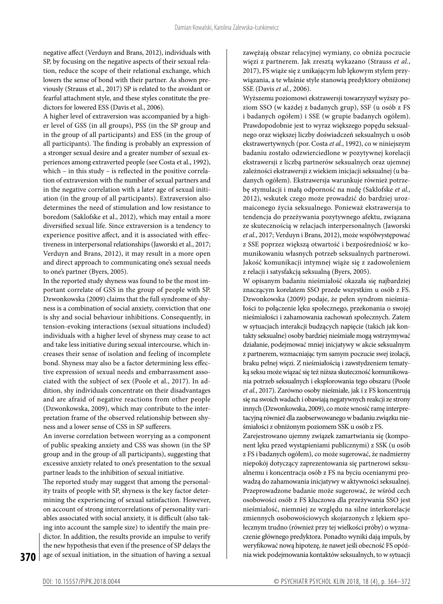negative affect (Verduyn and Brans, 2012), individuals with SP, by focusing on the negative aspects of their sexual relation, reduce the scope of their relational exchange, which lowers the sense of bond with their partner. As shown previously (Strauss et al., 2017) SP is related to the avoidant or fearful attachment style, and these styles constitute the predictors for lowered ESS (Davis et al., 2006).

A higher level of extraversion was accompanied by a higher level of GSS (in all groups), PSS (in the SP group and in the group of all participants) and ESS (in the group of all participants). The finding is probably an expression of a stronger sexual desire and a greater number of sexual experiences among extraverted people (see Costa et al., 1992), which – in this study – is reflected in the positive correlation of extraversion with the number of sexual partners and in the negative correlation with a later age of sexual initiation (in the group of all participants). Extraversion also determines the need of stimulation and low resistance to boredom (Saklofske et al., 2012), which may entail a more diversified sexual life. Since extraversion is a tendency to experience positive affect, and it is associated with effectiveness in interpersonal relationships (Jaworski et al., 2017; Verduyn and Brans, 2012), it may result in a more open and direct approach to communicating one's sexual needs to one's partner (Byers, 2005).

In the reported study shyness was found to be the most important correlate of GSS in the group of people with SP. Dzwonkowska (2009) claims that the full syndrome of shyness is a combination of social anxiety, conviction that one is shy and social behaviour inhibitions. Consequently, in tension-evoking interactions (sexual situations included) individuals with a higher level of shyness may cease to act and take less initiative during sexual intercourse, which increases their sense of isolation and feeling of incomplete bond. Shyness may also be a factor determining less effective expression of sexual needs and embarrassment associated with the subject of sex (Poole et al., 2017). In addition, shy individuals concentrate on their disadvantages and are afraid of negative reactions from other people (Dzwonkowska, 2009), which may contribute to the interpretation frame of the observed relationship between shyness and a lower sense of CSS in SP sufferers.

An inverse correlation between worrying as a component of public speaking anxiety and CSS was shown (in the SP group and in the group of all participants), suggesting that excessive anxiety related to one's presentation to the sexual partner leads to the inhibition of sexual initiative.

The reported study may suggest that among the personality traits of people with SP, shyness is the key factor determining the experiencing of sexual satisfaction. However, on account of strong intercorrelations of personality variables associated with social anxiety, it is difficult (also taking into account the sample size) to identify the main predictor. In addition, the results provide an impulse to verify the new hypothesis that even if the presence of SP delays the age of sexual initiation, in the situation of having a sexual

zawężają obszar relacyjnej wymiany, co obniża poczucie więzi z partnerem. Jak zresztą wykazano (Strauss *et al.*, 2017), FS wiąże się z unikającym lub lękowym stylem przywiązania, a te właśnie style stanowią predyktory obniżonej SSE (Davis *et al.*, 2006).

Wyższemu poziomowi ekstrawersji towarzyszył wyższy poziom SSO (w każdej z badanych grup), SSF (u osób z FS i badanych ogółem) i SSE (w grupie badanych ogółem). Prawdopodobnie jest to wyraz większego popędu seksualnego oraz większej liczby doświadczeń seksualnych u osób ekstrawertywnych (por. Costa *et al.*, 1992), co w niniejszym badaniu zostało odzwierciedlone w pozytywnej korelacji ekstrawersji z liczbą partnerów seksualnych oraz ujemnej zależności ekstrawersji z wiekiem inicjacji seksualnej (u badanych ogółem). Ekstrawersja warunkuje również potrzebę stymulacji i małą odporność na nudę (Saklofske *et al.*, 2012), wskutek czego może prowadzić do bardziej urozmaiconego życia seksualnego. Ponieważ ekstrawersja to tendencja do przeżywania pozytywnego afektu, związana ze skutecznością w relacjach interpersonalnych (Jaworski *et al.*, 2017; Verduyn i Brans, 2012), może współwystępować z SSE poprzez większą otwartość i bezpośredniość w komunikowaniu własnych potrzeb seksualnych partnerowi. Jakość komunikacji intymnej wiąże się z zadowoleniem z relacji i satysfakcją seksualną (Byers, 2005).

W opisanym badaniu nieśmiałość okazała się najbardziej znaczącym korelatem SSO przede wszystkim u osób z FS. Dzwonkowska (2009) podaje, że pełen syndrom nieśmiałości to połączenie lęku społecznego, przekonania o swojej nieśmiałości i zahamowania zachowań społecznych. Zatem w sytuacjach interakcji budzących napięcie (takich jak kontakty seksualne) osoby bardziej nieśmiałe mogą wstrzymywać działanie, podejmować mniej inicjatywy w akcie seksualnym z partnerem, wzmacniając tym samym poczucie swej izolacji, braku pełnej więzi. Z nieśmiałością i zawstydzeniem tematyką seksu może wiązać się też niższa skuteczność komunikowania potrzeb seksualnych i eksplorowania tego obszaru (Poole *et al.*, 2017). Zarówno osoby nieśmiałe, jak i z FS koncentrują się na swoich wadach i obawiają negatywnych reakcji ze strony innych (Dzwonkowska, 2009), co może wnosić ramę interpretacyjną również dla zaobserwowanego wbadaniu związku nieśmiałości z obniżonym poziomem SSK u osób z FS.

Zarejestrowano ujemny związek zamartwiania się (komponent lęku przed wystąpieniami publicznymi) z SSK (u osób z FS i badanych ogółem), co może sugerować, że nadmierny niepokój dotyczący zaprezentowania się partnerowi seksualnemu i koncentracja osób z FS na byciu ocenianymi prowadzą do zahamowania inicjatywy w aktywności seksualnej. Przeprowadzone badanie może sugerować, że wśród cech osobowości osób z FS kluczowa dla przeżywania SSO jest nieśmiałość, niemniej ze względu na silne interkorelacje zmiennych osobowościowych skojarzonych z lękiem społecznym trudno (również przy tej wielkości próby) o wyznaczenie głównego predyktora. Ponadto wyniki dają impuls, by weryfikować nową hipotezę, że nawet jeśli obecność FS opóźnia wiek podejmowania kontaktów seksualnych, to w sytuacji

**370**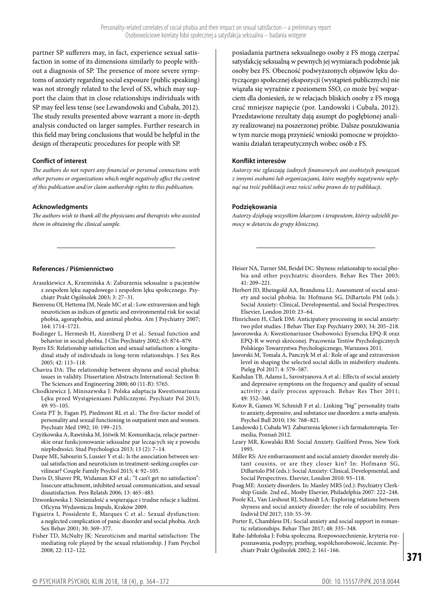partner SP sufferers may, in fact, experience sexual satisfaction in some of its dimensions similarly to people without a diagnosis of SP. The presence of more severe symptoms of anxiety regarding social exposure (public speaking) was not strongly related to the level of SS, which may support the claim that in close relationships individuals with SP may feel less tense (see Lewandowski and Cubała, 2012). The study results presented above warrant a more in-depth analysis conducted on larger samples. Further research in this field may bring conclusions that would be helpful in the design of therapeutic procedures for people with SP.

#### **Conflict of interest**

*The authors do not report any financial or personal connections with other persons or organizations which might negatively affect the content of this publication and/or claim authorship rights to this publication.*

## **Acknowledgments**

*The authors wish to thank all the physicians and therapists who assisted them in obtaining the clinical sample.*

## **References / Piśmiennictwo**

- Araszkiewicz A, Krzemińska A: Zaburzenia seksualne u pacjentów z zespołem lęku napadowego i zespołem lęku społecznego. Psychiatr Prakt Ogólnolek 2003; 3: 27–31.
- Bienvenu OJ, Hettema JM, Neale MC et al.: Low extraversion and high neuroticism as indices of genetic and environmental risk for social phobia, agoraphobia, and animal phobia. Am J Psychiatry 2007; 164: 1714–1721.
- Bodinger L, Hermesh H, Aizenberg D et al.: Sexual function and behavior in social phobia. J Clin Psychiatry 2002; 63: 874–879.
- Byers ES: Relationship satisfaction and sexual satisfaction: a longitudinal study of individuals in long-term relationships. J Sex Res 2005; 42: 113–118.
- Chavira DA: The relationship between shyness and social phobia: issues in validity. Dissertation Abstracts International: Section B: The Sciences and Engineering 2000; 60 (11-B): 5765.
- Chodkiewicz J, Miniszewska J: Polska adaptacja Kwestionariusza Lęku przed Wystąpieniami Publicznymi. Psychiatr Pol 2015; 49: 95–105.
- Costa PT Jr, Fagan PJ, Piedmont RL et al.: The five-factor model of personality and sexual functioning in outpatient men and women. Psychiatr Med 1992; 10: 199–215.
- Czyżkowska A, Rawińska M, Jóźwik M: Komunikacja, relacje partnerskie oraz funkcjonowanie seksualne par leczących się z powodu niepłodności. Stud Psychologica 2013; 13 (2): 7–14.

Daspe ME, Sabourin S, Lussier Y et al.: Is the association between sexual satisfaction and neuroticism in treatment-seeking couples curvilinear? Couple Family Psychol 2015; 4: 92–105.

Davis D, Shaver PR, Widaman KF et al.: ''I can't get no satisfaction'': Insecure attachment, inhibited sexual communication, and sexual dissatisfaction. Pers Relatsh 2006; 13: 465–483.

Dzwonkowska I: Nieśmiałość a wspierające i trudne relacje z ludźmi. Oficyna Wydawnicza Impuls, Kraków 2009.

Figueira I, Possidente E, Marques C et al.: Sexual dysfunction: a neglected complication of panic disorder and social phobia. Arch Sex Behav 2001; 30: 369–377.

Fisher TD, McNulty JK: Neuroticism and marital satisfaction: The mediating role played by the sexual relationship. J Fam Psychol 2008; 22: 112–122.

posiadania partnera seksualnego osoby z FS mogą czerpać satysfakcję seksualną w pewnych jej wymiarach podobnie jak osoby bez FS. Obecność podwyższonych objawów lęku dotyczącego społecznej ekspozycji (wystąpień publicznych) nie wiązała się wyraźnie z poziomem SSO, co może być wsparciem dla doniesień, że w relacjach bliskich osoby z FS mogą czuć mniejsze napięcie (por. Landowski i Cubała, 2012). Przedstawione rezultaty dają asumpt do pogłębionej analizy realizowanej na poszerzonej próbie. Dalsze poszukiwania w tym nurcie mogą przynieść wnioski pomocne w projektowaniu działań terapeutycznych wobec osób z FS.

## **Konflikt interesów**

*Autorzy nie zgłaszają żadnych finansowych ani osobistych powiązań z innymi osobami lub organizacjami, które mogłyby negatywnie wpłynąć na treść publikacji oraz rościć sobie prawo do tej publikacji.*

## **Podziękowania**

*Autorzy dziękują wszystkim lekarzom i terapeutom, którzy udzielili pomocy w dotarciu do grupy klinicznej.*

- Heiser NA, Turner SM, Beidel DC: Shyness: relationship to social phobia and other psychiatric disorders. Behav Res Ther 2003; 41: 209–221.
- Herbert JD, Rheingold AA, Brandsma LL: Assessment of social anxiety and social phobia. In: Hofmann SG, DiBartolo PM (eds.): Social Anxiety: Clinical, Developmental, and Social Perspectives. Elsevier, London 2010: 23–64.

Hinrichsen H, Clark DM: Anticipatory processing in social anxiety: two pilot studies. J Behav Ther Exp Psychiatry 2003; 34: 205–218.

- Jaworowska A: Kwestionariusze Osobowości Eysencka EPQ-R oraz EPQ-R w wersji skróconej. Pracownia Testów Psychologicznych Polskiego Towarzystwa Psychologicznego, Warszawa 2011.
- Jaworski M, Tomala A, Panczyk M et al.: Role of age and extraversion level in shaping the selected social skills in midwifery students. Pielęg Pol 2017; 4: 579–587.
- Kashdan TB, Adams L, Savostyanova A et al.: Effects of social anxiety and depressive symptoms on the frequency and quality of sexual activity: a daily process approach. Behav Res Ther 2011; 49: 352–360.
- Kotov R, Gamez W, Schmidt F et al.: Linking "big" personality traits to anxiety, depressive, and substance use disorders: a meta-analysis. Psychol Bull 2010; 136: 768–821.

Landowski J, Cubała WJ: Zaburzenia lękowe i ich farmakoterapia. Termedia, Poznań 2012.

- Leary MR, Kowalski RM: Social Anxiety. Guilford Press, New York 1995.
- Miller RS: Are embarrassment and social anxiety disorder merely distant cousins, or are they closer kin? In: Hofmann SG, DiBartolo PM (eds.): Social Anxiety: Clinical, Developmental, and Social Perspectives. Elsevier, London 2010: 93–118.
- Poag ME: Anxiety disorders. In: Manley MRS (ed.): Psychiatry Clerkship Guide. 2nd ed., Mosby Elsevier, Philadelphia 2007: 222–248.
- Poole KL, Van Lieshout RJ, Schmidt LA: Exploring relations between shyness and social anxiety disorder: the role of sociability. Pers Individ Dif 2017; 110: 55–59.
- Porter E, Chambless DL: Social anxiety and social support in romantic relationships. Behav Ther 2017; 48: 335–348.
- Rabe-Jabłońska J: Fobia społeczna. Rozpowszechnienie, kryteria rozpoznawania, podtypy, przebieg, współchorobowość, leczenie. Psychiatr Prakt Ogólnolek 2002; 2: 161–166.